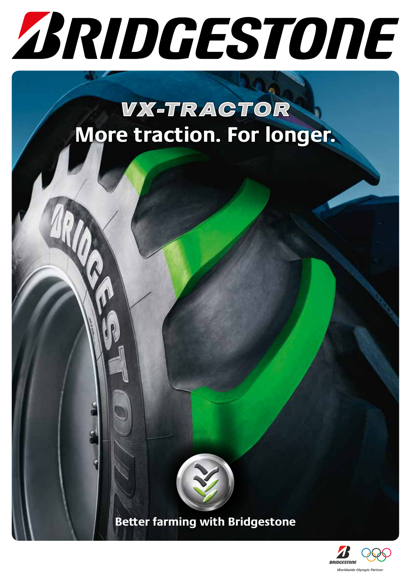

# **VX-TRACTOR More traction. For longer.**



**Better farming with Bridgestone**

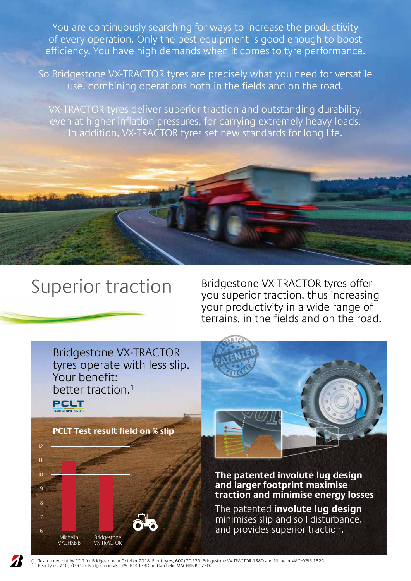You are continuously searching for ways to increase the productivity of every operation. Only the best equipment is good enough to boost efficiency. You have high demands when it comes to tyre performance.

So Bridgestone VX-TRACTOR tyres are precisely what you need for versatile use, combining operations both in the fields and on the road.

VX-TRACTOR tyres deliver superior traction and outstanding durability, even at higher inflation pressures, for carrying extremely heavy loads. In addition, VX-TRACTOR tyres set new standards for long life.



Superior traction Bridgestone VX-TRACTOR tyres offer you superior traction, thus increasing your productivity in a wide range of terrains, in the fields and on the road.



(1) Test carried out by PCLT for Bridgestone in October 2018. Front tyres, 600/70 R30: Bridgestone VX-TRACTOR 158D and Michelin MACHXBIB 152D. Rear tyres, 710/70 R42: Bridgestone VX-TRACTOR 173D and Michelin MACHXBIB 173D.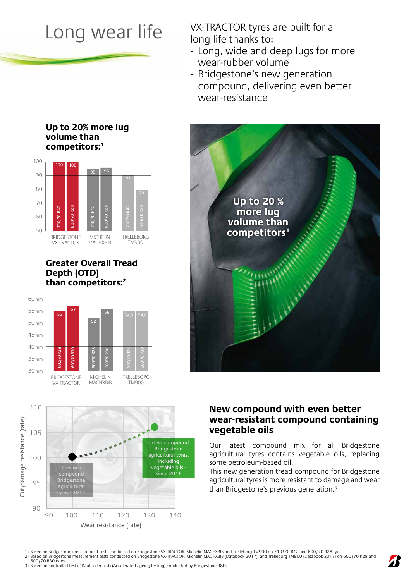Long wear life VX-TRACTOR tyres are built for a long life thanks to:

- Long, wide and deep lugs for more wear-rubber volume
- Bridgestone's new generation compound, delivering even better wear-resistance



### **Up to 20% more lug volume than competitors:<sup>1</sup>**



**Greater Overall Tread Depth (OTD) than competitors:2** 





### **New compound with even better wear-resistant compound containing vegetable oils**

Our latest compound mix for all Bridgestone agricultural tyres contains vegetable oils, replacing some petroleum-based oil.

This new generation tread compound for Bridgestone agricultural tyres is more resistant to damage and wear than Bridgestone's previous generation.<sup>3</sup>

(1) Based on Bridgestone measurement tests conducted on Bridgestone VX-TRACTOR, Michelin MACHXBIB and Trelleborg TM900 on 710/70 R42 and 600/70 R28 tyres<br>(2) Based on Bridgestone measurement tests conducted on Bridgestone 600/70 R30 tyres.

(3) Based on controlled test (DIN abrader test) (Accelerated ageing testing) conducted by Bridgestone R&D.